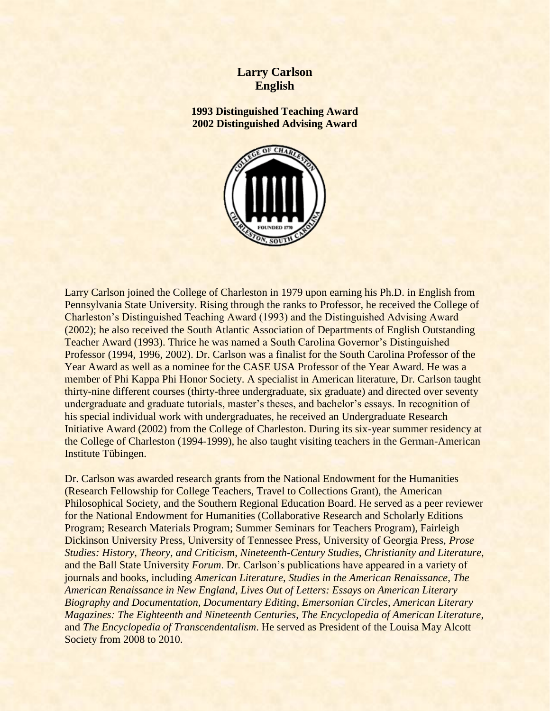## **Larry Carlson English**

**1993 Distinguished Teaching Award 2002 Distinguished Advising Award**



Larry Carlson joined the College of Charleston in 1979 upon earning his Ph.D. in English from Pennsylvania State University. Rising through the ranks to Professor, he received the College of Charleston's Distinguished Teaching Award (1993) and the Distinguished Advising Award (2002); he also received the South Atlantic Association of Departments of English Outstanding Teacher Award (1993). Thrice he was named a South Carolina Governor's Distinguished Professor (1994, 1996, 2002). Dr. Carlson was a finalist for the South Carolina Professor of the Year Award as well as a nominee for the CASE USA Professor of the Year Award. He was a member of Phi Kappa Phi Honor Society. A specialist in American literature, Dr. Carlson taught thirty-nine different courses (thirty-three undergraduate, six graduate) and directed over seventy undergraduate and graduate tutorials, master's theses, and bachelor's essays. In recognition of his special individual work with undergraduates, he received an Undergraduate Research Initiative Award (2002) from the College of Charleston. During its six-year summer residency at the College of Charleston (1994-1999), he also taught visiting teachers in the German-American Institute Tübingen.

Dr. Carlson was awarded research grants from the National Endowment for the Humanities (Research Fellowship for College Teachers, Travel to Collections Grant), the American Philosophical Society, and the Southern Regional Education Board. He served as a peer reviewer for the National Endowment for Humanities (Collaborative Research and Scholarly Editions Program; Research Materials Program; Summer Seminars for Teachers Program), Fairleigh Dickinson University Press, University of Tennessee Press, University of Georgia Press, *Prose Studies: History*, *Theory, and Criticism*, *Nineteenth-Century Studies*, *Christianity and Literature*, and the Ball State University *Forum*. Dr. Carlson's publications have appeared in a variety of journals and books, including *American Literature*, *Studies in the American Renaissance*, *The American Renaissance in New England*, *Lives Out of Letters: Essays on American Literary Biography and Documentation, Documentary Editing*, *Emersonian Circles*, *American Literary Magazines: The Eighteenth and Nineteenth Centuries*, *The Encyclopedia of American Literature*, and *The Encyclopedia of Transcendentalism*. He served as President of the Louisa May Alcott Society from 2008 to 2010.